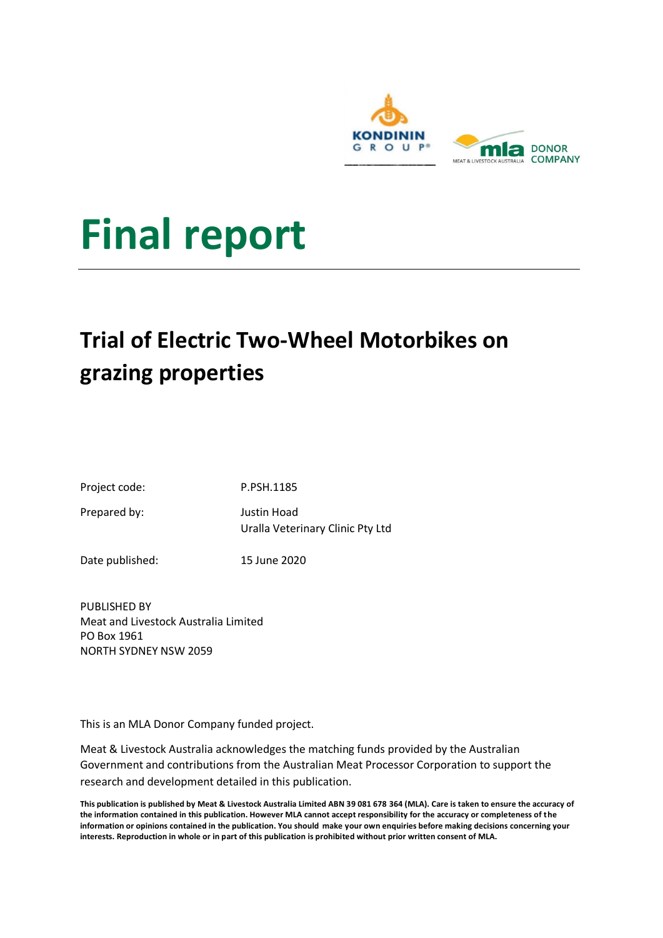

# **Final report**

## **Trial of Electric Two-Wheel Motorbikes on grazing properties**

| Project code: |  |
|---------------|--|
|---------------|--|

Prepared by: Justin Hoad

Uralla Veterinary Clinic Pty Ltd

Date published: 15 June 2020

P.PSH.1185

PUBLISHED BY Meat and Livestock Australia Limited PO Box 1961 NORTH SYDNEY NSW 2059

This is an MLA Donor Company funded project.

Meat & Livestock Australia acknowledges the matching funds provided by the Australian Government and contributions from the Australian Meat Processor Corporation to support the research and development detailed in this publication.

**This publication is published by Meat & Livestock Australia Limited ABN 39 081 678 364 (MLA). Care is taken to ensure the accuracy of the information contained in this publication. However MLA cannot accept responsibility for the accuracy or completeness of the information or opinions contained in the publication. You should make your own enquiries before making decisions concerning your interests. Reproduction in whole or in part of this publication is prohibited without prior written consent of MLA.**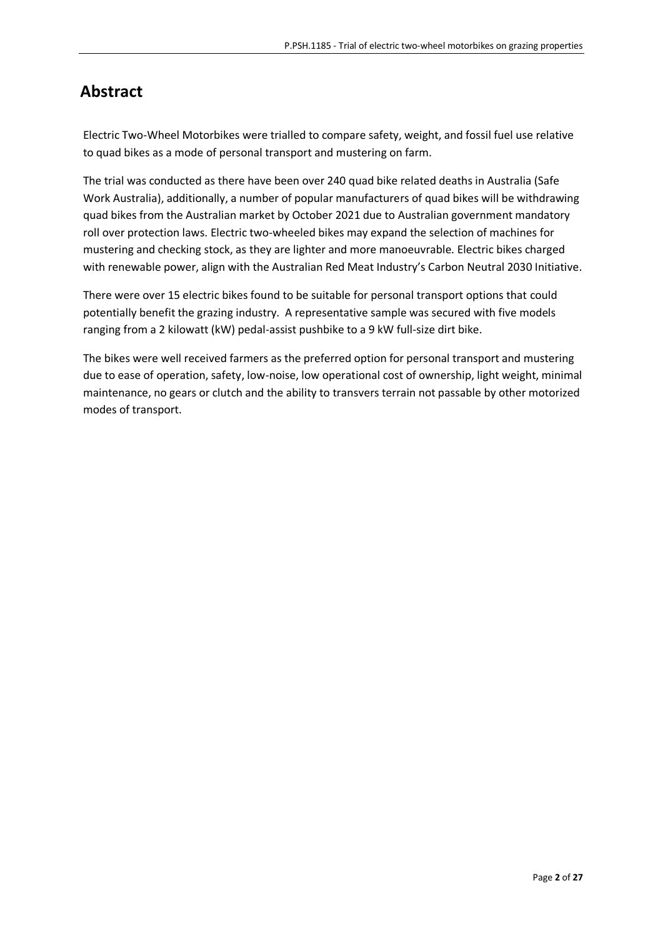## **Abstract**

Electric Two-Wheel Motorbikes were trialled to compare safety, weight, and fossil fuel use relative to quad bikes as a mode of personal transport and mustering on farm.

The trial was conducted as there have been over 240 quad bike related deaths in Australia (Safe Work Australia), additionally, a number of popular manufacturers of quad bikes will be withdrawing quad bikes from the Australian market by October 2021 due to Australian government mandatory roll over protection laws. Electric two-wheeled bikes may expand the selection of machines for mustering and checking stock, as they are lighter and more manoeuvrable. Electric bikes charged with renewable power, align with the Australian Red Meat Industry's Carbon Neutral 2030 Initiative.

There were over 15 electric bikes found to be suitable for personal transport options that could potentially benefit the grazing industry. A representative sample was secured with five models ranging from a 2 kilowatt (kW) pedal-assist pushbike to a 9 kW full-size dirt bike.

The bikes were well received farmers as the preferred option for personal transport and mustering due to ease of operation, safety, low-noise, low operational cost of ownership, light weight, minimal maintenance, no gears or clutch and the ability to transvers terrain not passable by other motorized modes of transport.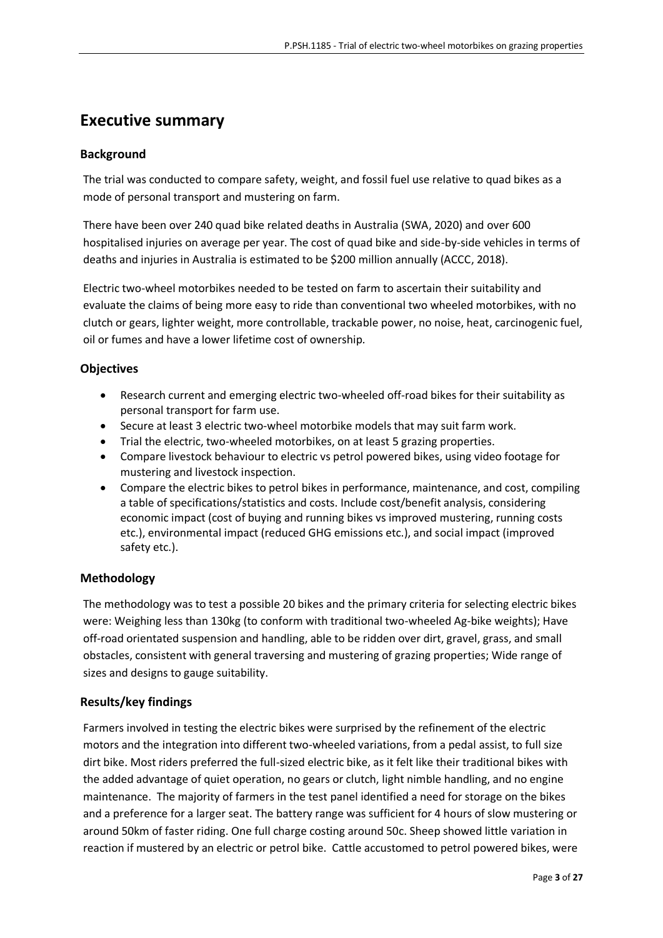## <span id="page-2-0"></span>**Executive summary**

## **Background**

The trial was conducted to compare safety, weight, and fossil fuel use relative to quad bikes as a mode of personal transport and mustering on farm.

There have been over 240 quad bike related deaths in Australia (SWA, 2020) and over 600 hospitalised injuries on average per year. The cost of quad bike and side-by-side vehicles in terms of deaths and injuries in Australia is estimated to be \$200 million annually (ACCC, 2018).

Electric two-wheel motorbikes needed to be tested on farm to ascertain their suitability and evaluate the claims of being more easy to ride than conventional two wheeled motorbikes, with no clutch or gears, lighter weight, more controllable, trackable power, no noise, heat, carcinogenic fuel, oil or fumes and have a lower lifetime cost of ownership*.*

## **Objectives**

- Research current and emerging electric two-wheeled off-road bikes for their suitability as personal transport for farm use.
- Secure at least 3 electric two-wheel motorbike models that may suit farm work.
- Trial the electric, two-wheeled motorbikes, on at least 5 grazing properties.
- Compare livestock behaviour to electric vs petrol powered bikes, using video footage for mustering and livestock inspection.
- Compare the electric bikes to petrol bikes in performance, maintenance, and cost, compiling a table of specifications/statistics and costs. Include cost/benefit analysis, considering economic impact (cost of buying and running bikes vs improved mustering, running costs etc.), environmental impact (reduced GHG emissions etc.), and social impact (improved safety etc.).

## **Methodology**

The methodology was to test a possible 20 bikes and the primary criteria for selecting electric bikes were: Weighing less than 130kg (to conform with traditional two-wheeled Ag-bike weights); Have off-road orientated suspension and handling, able to be ridden over dirt, gravel, grass, and small obstacles, consistent with general traversing and mustering of grazing properties; Wide range of sizes and designs to gauge suitability.

## **Results/key findings**

Farmers involved in testing the electric bikes were surprised by the refinement of the electric motors and the integration into different two-wheeled variations, from a pedal assist, to full size dirt bike. Most riders preferred the full-sized electric bike, as it felt like their traditional bikes with the added advantage of quiet operation, no gears or clutch, light nimble handling, and no engine maintenance. The majority of farmers in the test panel identified a need for storage on the bikes and a preference for a larger seat. The battery range was sufficient for 4 hours of slow mustering or around 50km of faster riding. One full charge costing around 50c. Sheep showed little variation in reaction if mustered by an electric or petrol bike. Cattle accustomed to petrol powered bikes, were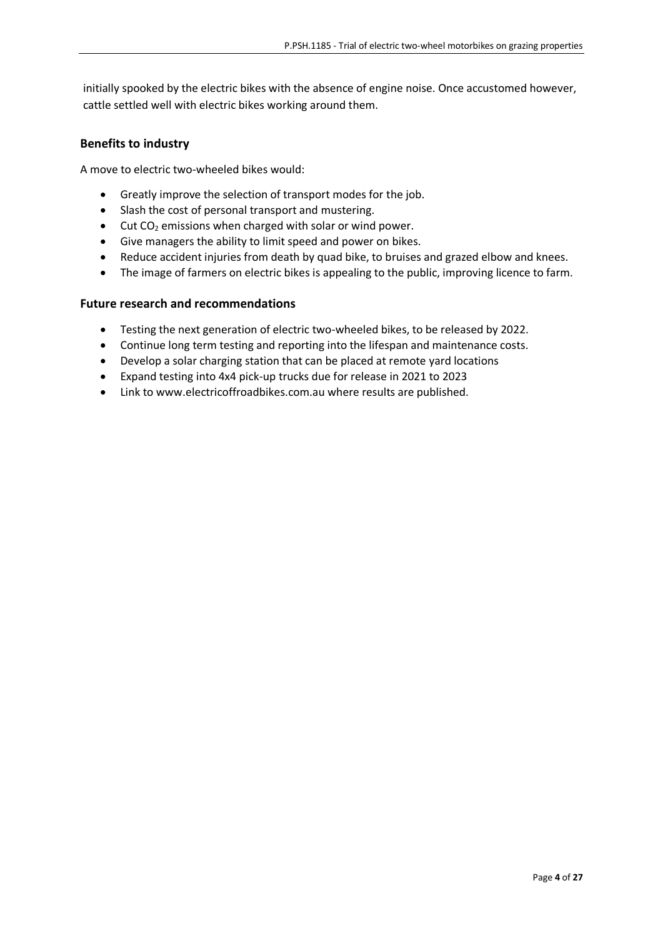initially spooked by the electric bikes with the absence of engine noise. Once accustomed however, cattle settled well with electric bikes working around them.

#### **Benefits to industry**

A move to electric two-wheeled bikes would:

- Greatly improve the selection of transport modes for the job.
- Slash the cost of personal transport and mustering.
- $\bullet$  Cut CO<sub>2</sub> emissions when charged with solar or wind power.
- Give managers the ability to limit speed and power on bikes.
- Reduce accident injuries from death by quad bike, to bruises and grazed elbow and knees.
- The image of farmers on electric bikes is appealing to the public, improving licence to farm.

#### **Future research and recommendations**

- Testing the next generation of electric two-wheeled bikes, to be released by 2022.
- Continue long term testing and reporting into the lifespan and maintenance costs.
- Develop a solar charging station that can be placed at remote yard locations
- Expand testing into 4x4 pick-up trucks due for release in 2021 to 2023
- Link to www.electricoffroadbikes.com.au where results are published.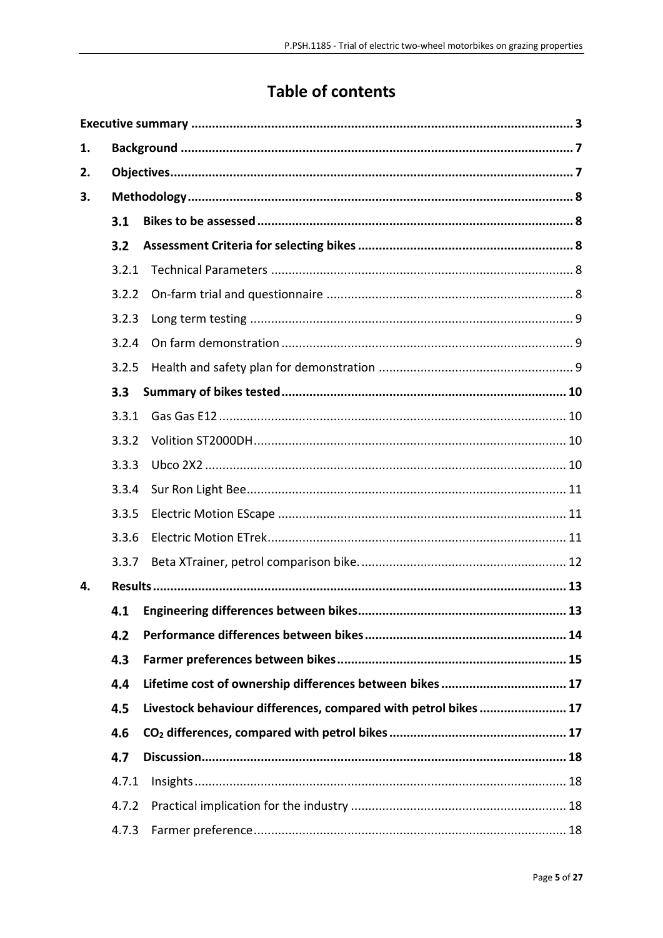## **Table of contents**

| 1. |       |                                                                 |  |
|----|-------|-----------------------------------------------------------------|--|
| 2. |       |                                                                 |  |
| 3. |       |                                                                 |  |
|    | 3.1   |                                                                 |  |
|    | 3.2   |                                                                 |  |
|    | 3.2.1 |                                                                 |  |
|    | 3.2.2 |                                                                 |  |
|    | 3.2.3 |                                                                 |  |
|    | 3.2.4 |                                                                 |  |
|    | 3.2.5 |                                                                 |  |
|    | 3.3   |                                                                 |  |
|    | 3.3.1 |                                                                 |  |
|    | 3.3.2 |                                                                 |  |
|    | 3.3.3 |                                                                 |  |
|    | 3.3.4 |                                                                 |  |
|    | 3.3.5 |                                                                 |  |
|    | 3.3.6 |                                                                 |  |
|    | 3.3.7 |                                                                 |  |
| 4. |       |                                                                 |  |
|    | 4.1   |                                                                 |  |
|    | 4.2   |                                                                 |  |
|    | 4.3   |                                                                 |  |
|    | 4.4   | Lifetime cost of ownership differences between bikes  17        |  |
|    | 4.5   | Livestock behaviour differences, compared with petrol bikes  17 |  |
|    | 4.6   |                                                                 |  |
|    | 4.7   |                                                                 |  |
|    | 4.7.1 |                                                                 |  |
|    | 4.7.2 |                                                                 |  |
|    | 4.7.3 |                                                                 |  |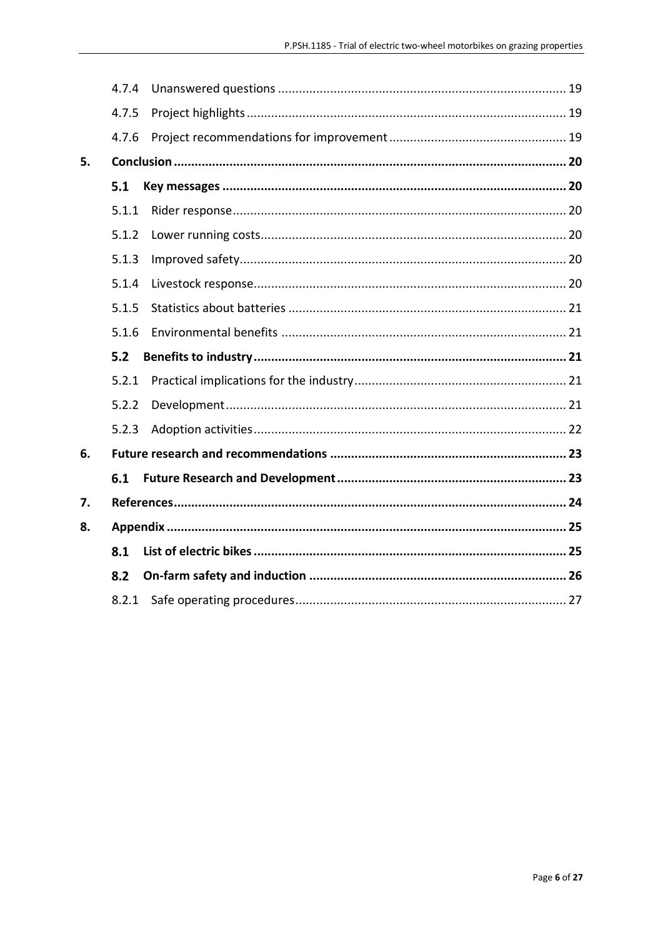|    | 4.7.4 |  |
|----|-------|--|
|    | 4.7.5 |  |
|    | 4.7.6 |  |
| 5. |       |  |
|    | 5.1   |  |
|    | 5.1.1 |  |
|    | 5.1.2 |  |
|    | 5.1.3 |  |
|    | 5.1.4 |  |
|    | 5.1.5 |  |
|    | 5.1.6 |  |
|    | 5.2   |  |
|    | 5.2.1 |  |
|    | 5.2.2 |  |
|    | 5.2.3 |  |
| 6. |       |  |
|    |       |  |
|    | 6.1   |  |
| 7. |       |  |
| 8. |       |  |
|    | 8.1   |  |
|    | 8.2   |  |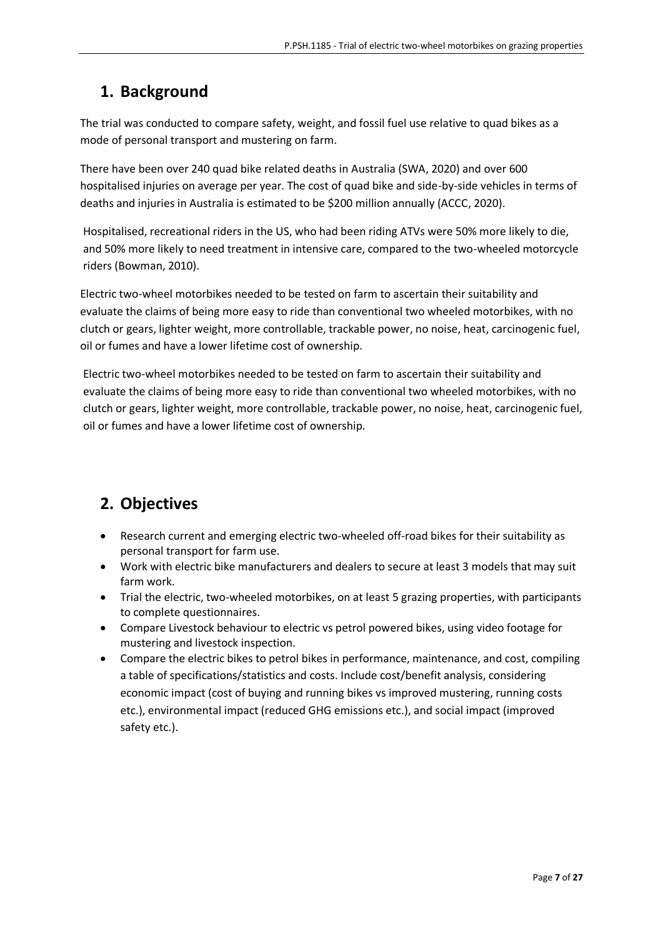## <span id="page-6-0"></span>**1. Background**

The trial was conducted to compare safety, weight, and fossil fuel use relative to quad bikes as a mode of personal transport and mustering on farm.

There have been over 240 quad bike related deaths in Australia (SWA, 2020) and over 600 hospitalised injuries on average per year. The cost of quad bike and side-by-side vehicles in terms of deaths and injuries in Australia is estimated to be \$200 million annually (ACCC, 2020).

Hospitalised, recreational riders in the US, who had been riding ATVs were 50% more likely to die, and 50% more likely to need treatment in intensive care, compared to the two-wheeled motorcycle riders (Bowman, 2010).

Electric two-wheel motorbikes needed to be tested on farm to ascertain their suitability and evaluate the claims of being more easy to ride than conventional two wheeled motorbikes, with no clutch or gears, lighter weight, more controllable, trackable power, no noise, heat, carcinogenic fuel, oil or fumes and have a lower lifetime cost of ownership*.*

Electric two-wheel motorbikes needed to be tested on farm to ascertain their suitability and evaluate the claims of being more easy to ride than conventional two wheeled motorbikes, with no clutch or gears, lighter weight, more controllable, trackable power, no noise, heat, carcinogenic fuel, oil or fumes and have a lower lifetime cost of ownership*.*

## <span id="page-6-1"></span>**2. Objectives**

- Research current and emerging electric two-wheeled off-road bikes for their suitability as personal transport for farm use.
- Work with electric bike manufacturers and dealers to secure at least 3 models that may suit farm work.
- Trial the electric, two-wheeled motorbikes, on at least 5 grazing properties, with participants to complete questionnaires.
- Compare Livestock behaviour to electric vs petrol powered bikes, using video footage for mustering and livestock inspection.
- Compare the electric bikes to petrol bikes in performance, maintenance, and cost, compiling a table of specifications/statistics and costs. Include cost/benefit analysis, considering economic impact (cost of buying and running bikes vs improved mustering, running costs etc.), environmental impact (reduced GHG emissions etc.), and social impact (improved safety etc.).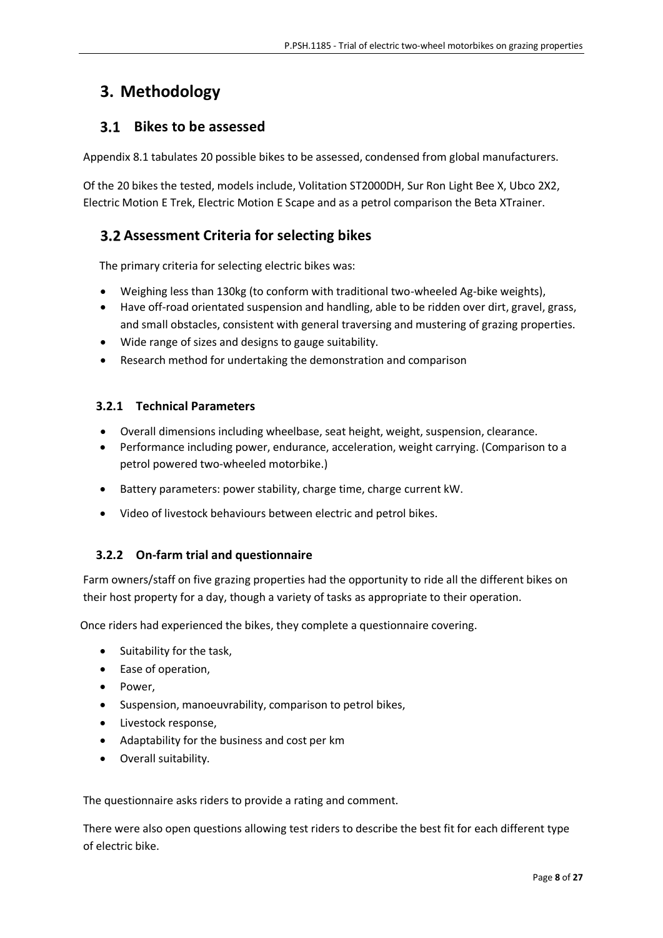## <span id="page-7-0"></span>**3. Methodology**

## <span id="page-7-1"></span> **Bikes to be assessed**

Appendix 8.1 tabulates 20 possible bikes to be assessed, condensed from global manufacturers.

Of the 20 bikes the tested, models include, Volitation ST2000DH, Sur Ron Light Bee X, Ubco 2X2, Electric Motion E Trek, Electric Motion E Scape and as a petrol comparison the Beta XTrainer.

## <span id="page-7-2"></span>**Assessment Criteria for selecting bikes**

The primary criteria for selecting electric bikes was:

- Weighing less than 130kg (to conform with traditional two-wheeled Ag-bike weights),
- Have off-road orientated suspension and handling, able to be ridden over dirt, gravel, grass, and small obstacles, consistent with general traversing and mustering of grazing properties.
- Wide range of sizes and designs to gauge suitability.
- Research method for undertaking the demonstration and comparison

## <span id="page-7-3"></span>**3.2.1 Technical Parameters**

- Overall dimensions including wheelbase, seat height, weight, suspension, clearance.
- Performance including power, endurance, acceleration, weight carrying. (Comparison to a petrol powered two-wheeled motorbike.)
- Battery parameters: power stability, charge time, charge current kW.
- Video of livestock behaviours between electric and petrol bikes.

## <span id="page-7-4"></span>**3.2.2 On-farm trial and questionnaire**

Farm owners/staff on five grazing properties had the opportunity to ride all the different bikes on their host property for a day, though a variety of tasks as appropriate to their operation.

Once riders had experienced the bikes, they complete a questionnaire covering.

- Suitability for the task,
- Ease of operation,
- Power,
- Suspension, manoeuvrability, comparison to petrol bikes,
- Livestock response,
- Adaptability for the business and cost per km
- Overall suitability.

The questionnaire asks riders to provide a rating and comment.

There were also open questions allowing test riders to describe the best fit for each different type of electric bike.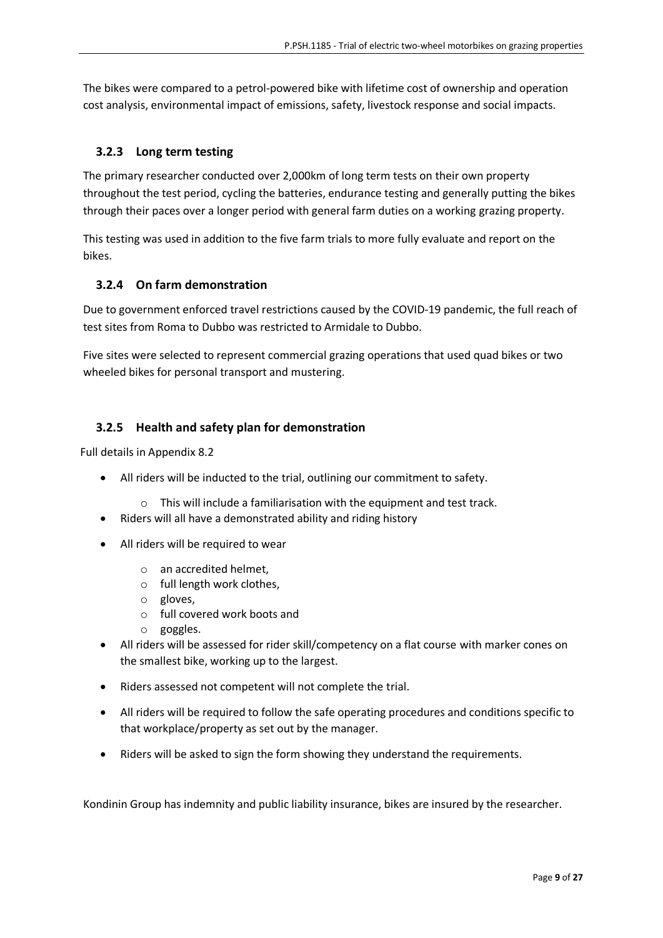The bikes were compared to a petrol-powered bike with lifetime cost of ownership and operation cost analysis, environmental impact of emissions, safety, livestock response and social impacts.

## <span id="page-8-0"></span>**3.2.3 Long term testing**

The primary researcher conducted over 2,000km of long term tests on their own property throughout the test period, cycling the batteries, endurance testing and generally putting the bikes through their paces over a longer period with general farm duties on a working grazing property.

This testing was used in addition to the five farm trials to more fully evaluate and report on the bikes.

#### <span id="page-8-1"></span>**3.2.4 On farm demonstration**

Due to government enforced travel restrictions caused by the COVID-19 pandemic, the full reach of test sites from Roma to Dubbo was restricted to Armidale to Dubbo.

Five sites were selected to represent commercial grazing operations that used quad bikes or two wheeled bikes for personal transport and mustering.

## <span id="page-8-2"></span>**3.2.5 Health and safety plan for demonstration**

Full details in Appendix 8.2

- All riders will be inducted to the trial, outlining our commitment to safety.
	- o This will include a familiarisation with the equipment and test track.
- Riders will all have a demonstrated ability and riding history
- All riders will be required to wear
	- o an accredited helmet,
	- o full length work clothes,
	- o gloves,
	- o full covered work boots and
	- o goggles.
- All riders will be assessed for rider skill/competency on a flat course with marker cones on the smallest bike, working up to the largest.
- Riders assessed not competent will not complete the trial.
- All riders will be required to follow the safe operating procedures and conditions specific to that workplace/property as set out by the manager.
- Riders will be asked to sign the form showing they understand the requirements.

Kondinin Group has indemnity and public liability insurance, bikes are insured by the researcher.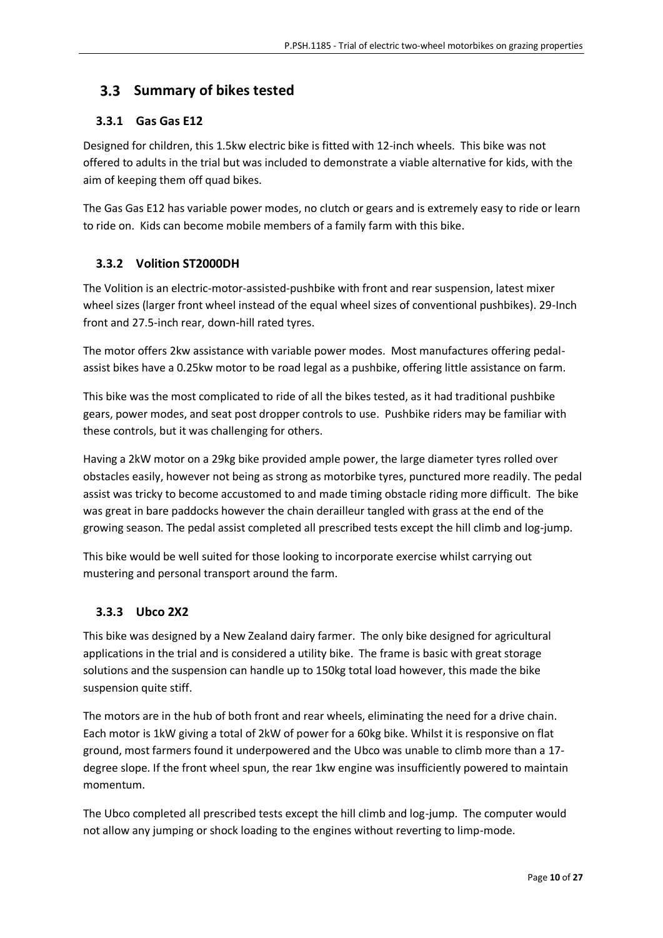## <span id="page-9-0"></span> **Summary of bikes tested**

## <span id="page-9-1"></span>**3.3.1 Gas Gas E12**

Designed for children, this 1.5kw electric bike is fitted with 12-inch wheels. This bike was not offered to adults in the trial but was included to demonstrate a viable alternative for kids, with the aim of keeping them off quad bikes.

The Gas Gas E12 has variable power modes, no clutch or gears and is extremely easy to ride or learn to ride on. Kids can become mobile members of a family farm with this bike.

#### <span id="page-9-2"></span>**3.3.2 Volition ST2000DH**

The Volition is an electric-motor-assisted-pushbike with front and rear suspension, latest mixer wheel sizes (larger front wheel instead of the equal wheel sizes of conventional pushbikes). 29-Inch front and 27.5-inch rear, down-hill rated tyres.

The motor offers 2kw assistance with variable power modes. Most manufactures offering pedalassist bikes have a 0.25kw motor to be road legal as a pushbike, offering little assistance on farm.

This bike was the most complicated to ride of all the bikes tested, as it had traditional pushbike gears, power modes, and seat post dropper controls to use. Pushbike riders may be familiar with these controls, but it was challenging for others.

Having a 2kW motor on a 29kg bike provided ample power, the large diameter tyres rolled over obstacles easily, however not being as strong as motorbike tyres, punctured more readily. The pedal assist was tricky to become accustomed to and made timing obstacle riding more difficult. The bike was great in bare paddocks however the chain derailleur tangled with grass at the end of the growing season. The pedal assist completed all prescribed tests except the hill climb and log-jump.

This bike would be well suited for those looking to incorporate exercise whilst carrying out mustering and personal transport around the farm.

## <span id="page-9-3"></span>**3.3.3 Ubco 2X2**

This bike was designed by a New Zealand dairy farmer. The only bike designed for agricultural applications in the trial and is considered a utility bike. The frame is basic with great storage solutions and the suspension can handle up to 150kg total load however, this made the bike suspension quite stiff.

The motors are in the hub of both front and rear wheels, eliminating the need for a drive chain. Each motor is 1kW giving a total of 2kW of power for a 60kg bike. Whilst it is responsive on flat ground, most farmers found it underpowered and the Ubco was unable to climb more than a 17 degree slope. If the front wheel spun, the rear 1kw engine was insufficiently powered to maintain momentum.

The Ubco completed all prescribed tests except the hill climb and log-jump. The computer would not allow any jumping or shock loading to the engines without reverting to limp-mode.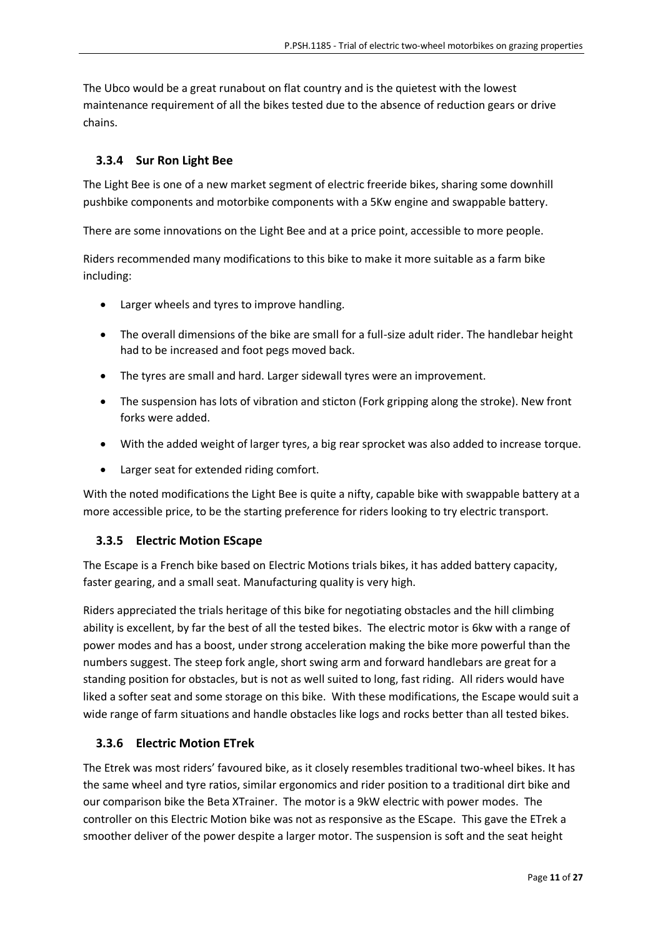The Ubco would be a great runabout on flat country and is the quietest with the lowest maintenance requirement of all the bikes tested due to the absence of reduction gears or drive chains.

## <span id="page-10-0"></span>**3.3.4 Sur Ron Light Bee**

The Light Bee is one of a new market segment of electric freeride bikes, sharing some downhill pushbike components and motorbike components with a 5Kw engine and swappable battery.

There are some innovations on the Light Bee and at a price point, accessible to more people.

Riders recommended many modifications to this bike to make it more suitable as a farm bike including:

- Larger wheels and tyres to improve handling.
- The overall dimensions of the bike are small for a full-size adult rider. The handlebar height had to be increased and foot pegs moved back.
- The tyres are small and hard. Larger sidewall tyres were an improvement.
- The suspension has lots of vibration and sticton (Fork gripping along the stroke). New front forks were added.
- With the added weight of larger tyres, a big rear sprocket was also added to increase torque.
- Larger seat for extended riding comfort.

With the noted modifications the Light Bee is quite a nifty, capable bike with swappable battery at a more accessible price, to be the starting preference for riders looking to try electric transport.

#### <span id="page-10-1"></span>**3.3.5 Electric Motion EScape**

The Escape is a French bike based on Electric Motions trials bikes, it has added battery capacity, faster gearing, and a small seat. Manufacturing quality is very high.

Riders appreciated the trials heritage of this bike for negotiating obstacles and the hill climbing ability is excellent, by far the best of all the tested bikes. The electric motor is 6kw with a range of power modes and has a boost, under strong acceleration making the bike more powerful than the numbers suggest. The steep fork angle, short swing arm and forward handlebars are great for a standing position for obstacles, but is not as well suited to long, fast riding. All riders would have liked a softer seat and some storage on this bike. With these modifications, the Escape would suit a wide range of farm situations and handle obstacles like logs and rocks better than all tested bikes.

#### <span id="page-10-2"></span>**3.3.6 Electric Motion ETrek**

The Etrek was most riders' favoured bike, as it closely resembles traditional two-wheel bikes. It has the same wheel and tyre ratios, similar ergonomics and rider position to a traditional dirt bike and our comparison bike the Beta XTrainer. The motor is a 9kW electric with power modes. The controller on this Electric Motion bike was not as responsive as the EScape. This gave the ETrek a smoother deliver of the power despite a larger motor. The suspension is soft and the seat height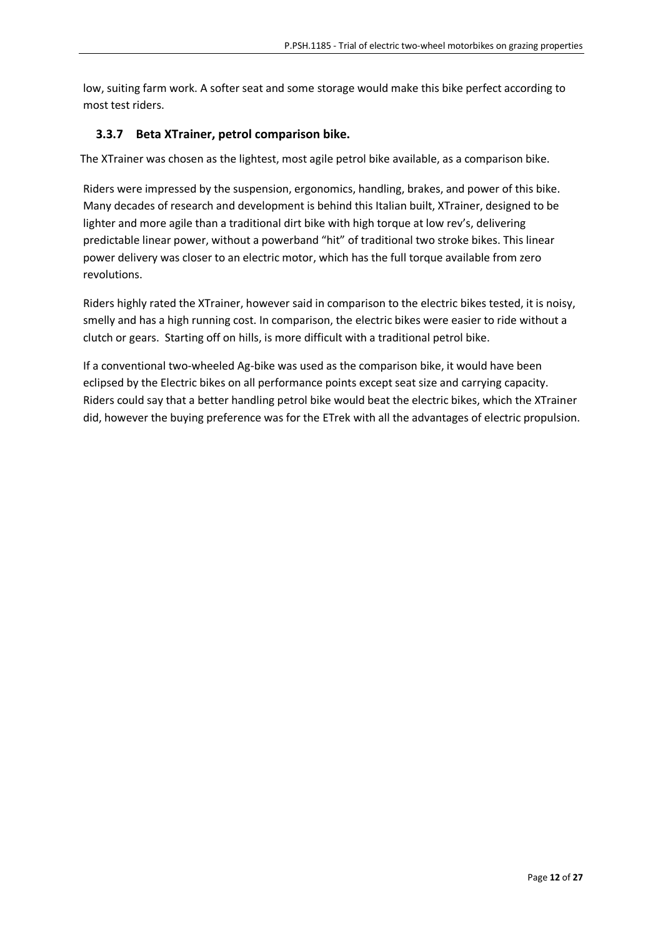low, suiting farm work. A softer seat and some storage would make this bike perfect according to most test riders.

#### <span id="page-11-0"></span>**3.3.7 Beta XTrainer, petrol comparison bike.**

The XTrainer was chosen as the lightest, most agile petrol bike available, as a comparison bike.

Riders were impressed by the suspension, ergonomics, handling, brakes, and power of this bike. Many decades of research and development is behind this Italian built, XTrainer, designed to be lighter and more agile than a traditional dirt bike with high torque at low rev's, delivering predictable linear power, without a powerband "hit" of traditional two stroke bikes. This linear power delivery was closer to an electric motor, which has the full torque available from zero revolutions.

Riders highly rated the XTrainer, however said in comparison to the electric bikes tested, it is noisy, smelly and has a high running cost. In comparison, the electric bikes were easier to ride without a clutch or gears. Starting off on hills, is more difficult with a traditional petrol bike.

If a conventional two-wheeled Ag-bike was used as the comparison bike, it would have been eclipsed by the Electric bikes on all performance points except seat size and carrying capacity. Riders could say that a better handling petrol bike would beat the electric bikes, which the XTrainer did, however the buying preference was for the ETrek with all the advantages of electric propulsion.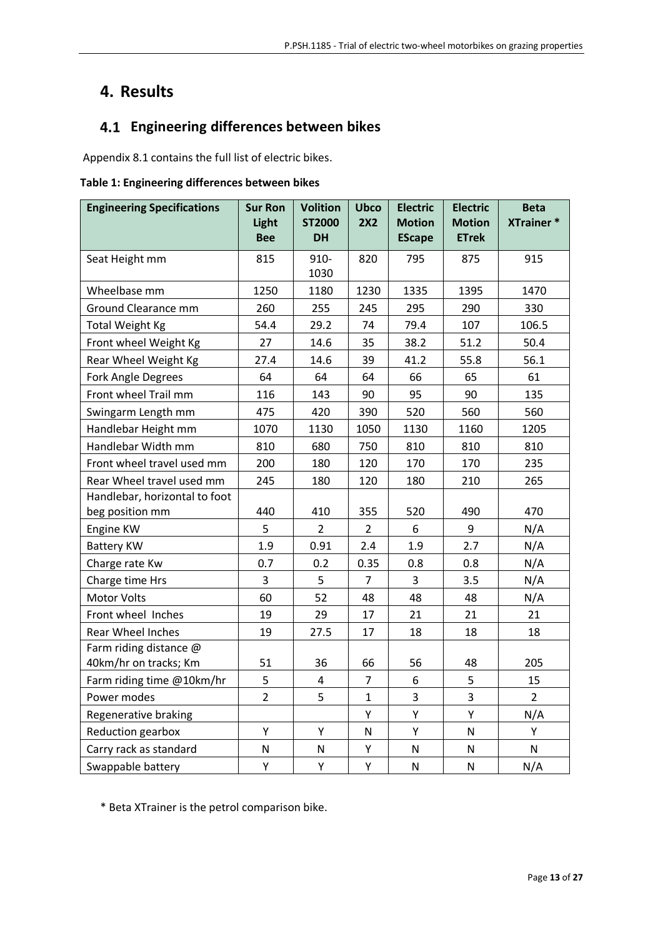## <span id="page-12-0"></span>**4. Results**

## <span id="page-12-1"></span> **Engineering differences between bikes**

Appendix 8.1 contains the full list of electric bikes.

#### **Table 1: Engineering differences between bikes**

| <b>Engineering Specifications</b> | <b>Sur Ron</b><br>Light<br><b>Bee</b> | <b>Volition</b><br><b>ST2000</b><br><b>DH</b> | <b>Ubco</b><br>2X2 | <b>Electric</b><br><b>Motion</b><br><b>EScape</b> | <b>Electric</b><br><b>Motion</b><br><b>ETrek</b> | <b>Beta</b><br><b>XTrainer*</b> |
|-----------------------------------|---------------------------------------|-----------------------------------------------|--------------------|---------------------------------------------------|--------------------------------------------------|---------------------------------|
| Seat Height mm                    | 815                                   | 910-                                          | 820                | 795                                               | 875                                              | 915                             |
|                                   |                                       | 1030                                          |                    |                                                   |                                                  |                                 |
| Wheelbase mm                      | 1250                                  | 1180                                          | 1230               | 1335                                              | 1395                                             | 1470                            |
| Ground Clearance mm               | 260                                   | 255                                           | 245                | 295                                               | 290                                              | 330                             |
| Total Weight Kg                   | 54.4                                  | 29.2                                          | 74                 | 79.4                                              | 107                                              | 106.5                           |
| Front wheel Weight Kg             | 27                                    | 14.6                                          | 35                 | 38.2                                              | 51.2                                             | 50.4                            |
| Rear Wheel Weight Kg              | 27.4                                  | 14.6                                          | 39                 | 41.2                                              | 55.8                                             | 56.1                            |
| Fork Angle Degrees                | 64                                    | 64                                            | 64                 | 66                                                | 65                                               | 61                              |
| Front wheel Trail mm              | 116                                   | 143                                           | 90                 | 95                                                | 90                                               | 135                             |
| Swingarm Length mm                | 475                                   | 420                                           | 390                | 520                                               | 560                                              | 560                             |
| Handlebar Height mm               | 1070                                  | 1130                                          | 1050               | 1130                                              | 1160                                             | 1205                            |
| Handlebar Width mm                | 810                                   | 680                                           | 750                | 810                                               | 810                                              | 810                             |
| Front wheel travel used mm        | 200                                   | 180                                           | 120                | 170                                               | 170                                              | 235                             |
| Rear Wheel travel used mm         | 245                                   | 180                                           | 120                | 180                                               | 210                                              | 265                             |
| Handlebar, horizontal to foot     |                                       |                                               |                    |                                                   |                                                  |                                 |
| beg position mm                   | 440                                   | 410                                           | 355                | 520                                               | 490                                              | 470                             |
| Engine KW                         | 5                                     | $\overline{2}$                                | $\overline{2}$     | 6                                                 | 9                                                | N/A                             |
| <b>Battery KW</b>                 | 1.9                                   | 0.91                                          | 2.4                | 1.9                                               | 2.7                                              | N/A                             |
| Charge rate Kw                    | 0.7                                   | 0.2                                           | 0.35               | 0.8                                               | 0.8                                              | N/A                             |
| Charge time Hrs                   | 3                                     | 5                                             | $\overline{7}$     | 3                                                 | 3.5                                              | N/A                             |
| Motor Volts                       | 60                                    | 52                                            | 48                 | 48                                                | 48                                               | N/A                             |
| Front wheel Inches                | 19                                    | 29                                            | 17                 | 21                                                | 21                                               | 21                              |
| Rear Wheel Inches                 | 19                                    | 27.5                                          | 17                 | 18                                                | 18                                               | 18                              |
| Farm riding distance @            |                                       |                                               |                    |                                                   |                                                  |                                 |
| 40km/hr on tracks; Km             | 51                                    | 36                                            | 66                 | 56                                                | 48                                               | 205                             |
| Farm riding time @10km/hr         | 5                                     | $\overline{\mathbf{4}}$                       | $\overline{7}$     | 6                                                 | 5                                                | 15                              |
| Power modes                       | $\overline{2}$                        | 5                                             | $\mathbf{1}$       | 3                                                 | 3                                                | $\overline{2}$                  |
| Regenerative braking              |                                       |                                               | Υ                  | Υ                                                 | Υ                                                | N/A                             |
| <b>Reduction gearbox</b>          | Υ                                     | Υ                                             | N                  | Υ                                                 | ${\sf N}$                                        | Υ                               |
| Carry rack as standard            | ${\sf N}$                             | ${\sf N}$                                     | Υ                  | ${\sf N}$                                         | ${\sf N}$                                        | N                               |
| Swappable battery                 | Υ                                     | Υ                                             | Υ                  | N                                                 | ${\sf N}$                                        | N/A                             |

\* Beta XTrainer is the petrol comparison bike.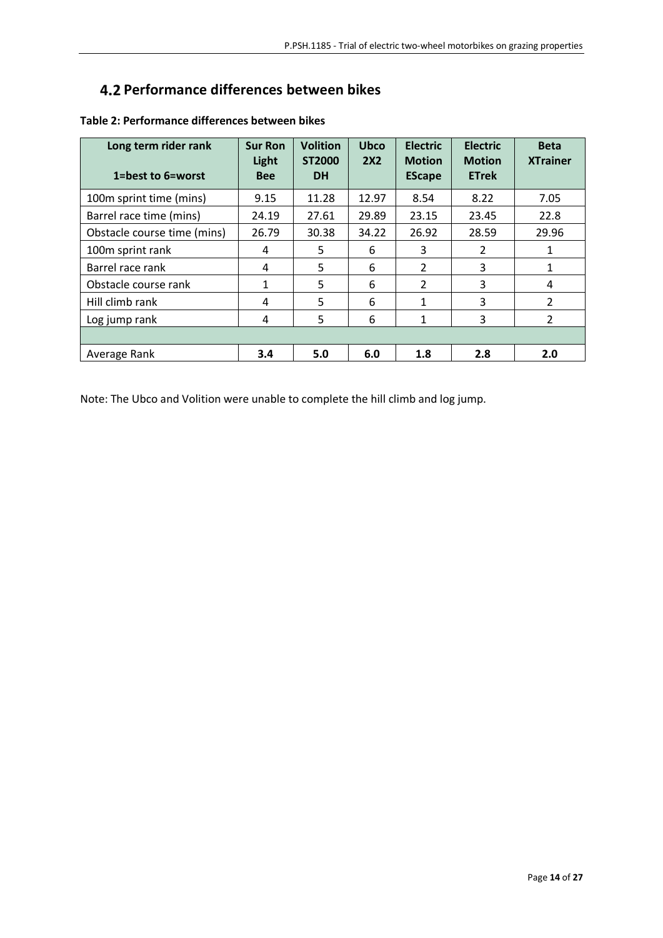## <span id="page-13-0"></span>**Performance differences between bikes**

| Long term rider rank<br>1=best to 6=worst | <b>Sur Ron</b><br>Light<br><b>Bee</b> | <b>Volition</b><br>ST2000<br><b>DH</b> | <b>Ubco</b><br><b>2X2</b> | <b>Electric</b><br><b>Motion</b><br><b>EScape</b> | <b>Electric</b><br><b>Motion</b><br><b>ETrek</b> | <b>Beta</b><br><b>XTrainer</b> |
|-------------------------------------------|---------------------------------------|----------------------------------------|---------------------------|---------------------------------------------------|--------------------------------------------------|--------------------------------|
| 100m sprint time (mins)                   | 9.15                                  | 11.28                                  | 12.97                     | 8.54                                              | 8.22                                             | 7.05                           |
| Barrel race time (mins)                   | 24.19                                 | 27.61                                  | 29.89                     | 23.15                                             | 23.45                                            | 22.8                           |
| Obstacle course time (mins)               | 26.79                                 | 30.38                                  | 34.22                     | 26.92                                             | 28.59                                            | 29.96                          |
| 100m sprint rank                          | 4                                     | 5                                      | 6                         | 3                                                 | $\mathcal{P}$                                    | 1                              |
| Barrel race rank                          | 4                                     | 5                                      | 6                         | $\overline{2}$                                    | 3                                                | 1                              |
| Obstacle course rank                      | 1                                     | 5                                      | 6                         | $\mathcal{P}$                                     | 3                                                | 4                              |
| Hill climb rank                           | 4                                     | 5                                      | 6                         | $\mathbf{1}$                                      | 3                                                | $\overline{\phantom{a}}$       |
| Log jump rank                             | 4                                     | 5                                      | 6                         | 1                                                 | 3                                                | $\overline{2}$                 |
|                                           |                                       |                                        |                           |                                                   |                                                  |                                |
| Average Rank                              | 3.4                                   | 5.0                                    | 6.0                       | 1.8                                               | 2.8                                              | 2.0                            |

## **Table 2: Performance differences between bikes**

Note: The Ubco and Volition were unable to complete the hill climb and log jump.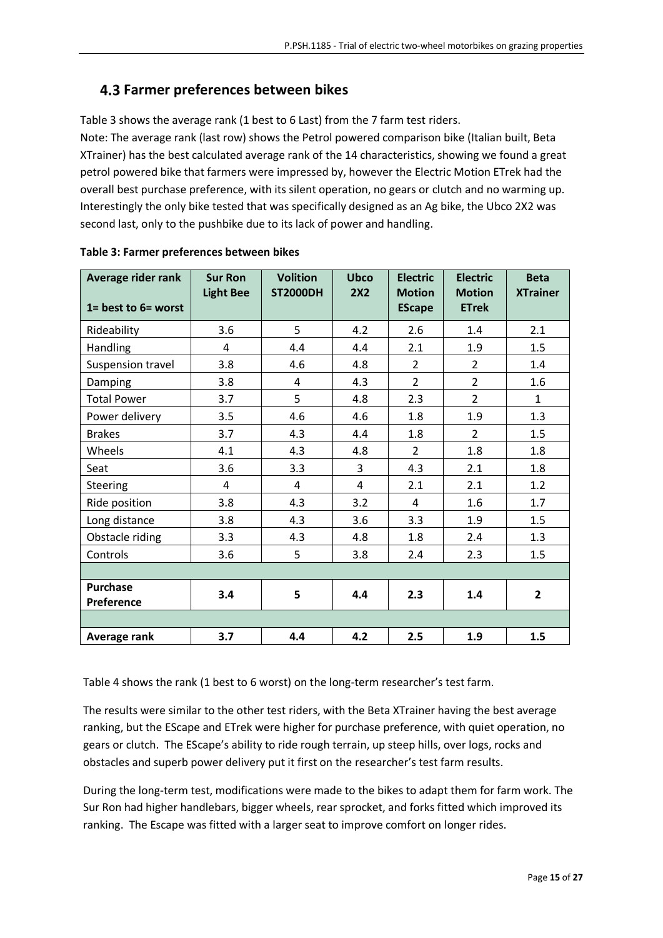## <span id="page-14-0"></span>**Farmer preferences between bikes**

Table 3 shows the average rank (1 best to 6 Last) from the 7 farm test riders.

Note: The average rank (last row) shows the Petrol powered comparison bike (Italian built, Beta XTrainer) has the best calculated average rank of the 14 characteristics, showing we found a great petrol powered bike that farmers were impressed by, however the Electric Motion ETrek had the overall best purchase preference, with its silent operation, no gears or clutch and no warming up. Interestingly the only bike tested that was specifically designed as an Ag bike, the Ubco 2X2 was second last, only to the pushbike due to its lack of power and handling.

| Average rider rank<br>$1 = best to 6 = worst$ | <b>Sur Ron</b><br><b>Light Bee</b> | <b>Volition</b><br><b>ST2000DH</b> | <b>Ubco</b><br>2X2 | <b>Electric</b><br><b>Motion</b><br><b>EScape</b> | <b>Electric</b><br><b>Motion</b><br><b>ETrek</b> | <b>Beta</b><br><b>XTrainer</b> |
|-----------------------------------------------|------------------------------------|------------------------------------|--------------------|---------------------------------------------------|--------------------------------------------------|--------------------------------|
| Rideability                                   | 3.6                                | 5                                  | 4.2                | 2.6                                               | 1.4                                              | 2.1                            |
| Handling                                      | 4                                  | 4.4                                | 4.4                | 2.1                                               | 1.9                                              | 1.5                            |
| Suspension travel                             | 3.8                                | 4.6                                | 4.8                | $\overline{2}$                                    | $\overline{2}$                                   | 1.4                            |
| Damping                                       | 3.8                                | 4                                  | 4.3                | $\overline{2}$                                    | $\overline{2}$                                   | 1.6                            |
| <b>Total Power</b>                            | 3.7                                | 5                                  | 4.8                | 2.3                                               | $\overline{2}$                                   | $\mathbf{1}$                   |
| Power delivery                                | 3.5                                | 4.6                                | 4.6                | 1.8                                               | 1.9                                              | 1.3                            |
| <b>Brakes</b>                                 | 3.7                                | 4.3                                | 4.4                | 1.8                                               | $\overline{2}$                                   | 1.5                            |
| Wheels                                        | 4.1                                | 4.3                                | 4.8                | $\overline{2}$                                    | 1.8                                              | 1.8                            |
| Seat                                          | 3.6                                | 3.3                                | 3                  | 4.3                                               | 2.1                                              | 1.8                            |
| <b>Steering</b>                               | $\overline{4}$                     | $\overline{4}$                     | 4                  | 2.1                                               | 2.1                                              | 1.2                            |
| Ride position                                 | 3.8                                | 4.3                                | 3.2                | 4                                                 | 1.6                                              | 1.7                            |
| Long distance                                 | 3.8                                | 4.3                                | 3.6                | 3.3                                               | 1.9                                              | 1.5                            |
| Obstacle riding                               | 3.3                                | 4.3                                | 4.8                | 1.8                                               | 2.4                                              | 1.3                            |
| Controls                                      | 3.6                                | 5                                  | 3.8                | 2.4                                               | 2.3                                              | 1.5                            |
|                                               |                                    |                                    |                    |                                                   |                                                  |                                |
| <b>Purchase</b><br>Preference                 | 3.4                                | 5                                  | 4.4                | 2.3                                               | 1.4                                              | $\mathbf{2}$                   |
|                                               |                                    |                                    |                    |                                                   |                                                  |                                |
| Average rank                                  | 3.7                                | 4.4                                | 4.2                | 2.5                                               | 1.9                                              | 1.5                            |

#### **Table 3: Farmer preferences between bikes**

Table 4 shows the rank (1 best to 6 worst) on the long-term researcher's test farm.

The results were similar to the other test riders, with the Beta XTrainer having the best average ranking, but the EScape and ETrek were higher for purchase preference, with quiet operation, no gears or clutch. The EScape's ability to ride rough terrain, up steep hills, over logs, rocks and obstacles and superb power delivery put it first on the researcher's test farm results.

During the long-term test, modifications were made to the bikes to adapt them for farm work. The Sur Ron had higher handlebars, bigger wheels, rear sprocket, and forks fitted which improved its ranking. The Escape was fitted with a larger seat to improve comfort on longer rides.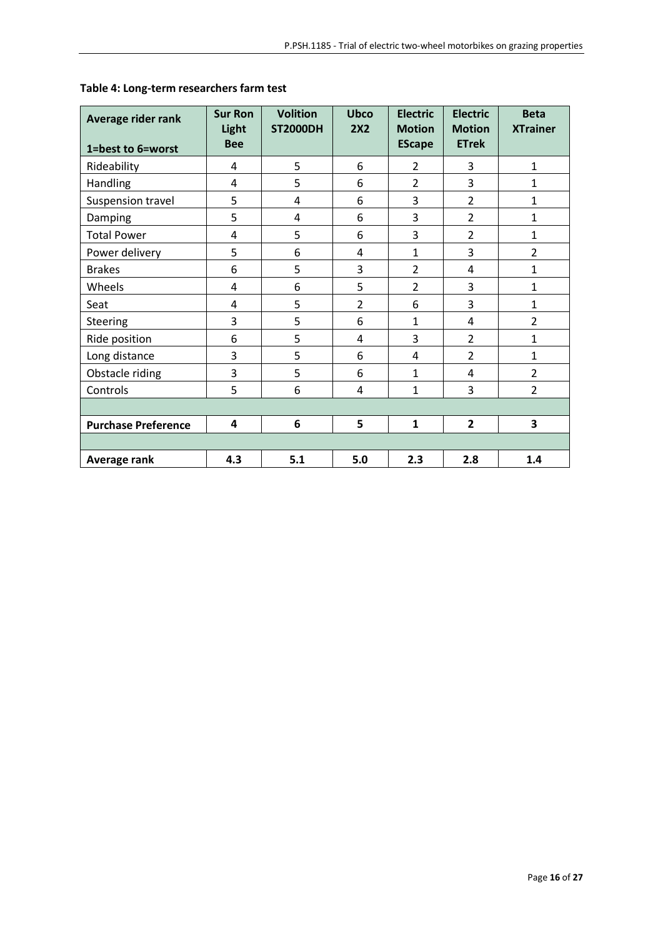| Average rider rank<br>1=best to 6=worst | <b>Sur Ron</b><br>Light<br><b>Bee</b> | <b>Volition</b><br><b>ST2000DH</b> | <b>Ubco</b><br>2X2 | <b>Electric</b><br><b>Motion</b><br><b>EScape</b> | <b>Electric</b><br><b>Motion</b><br><b>ETrek</b> | <b>Beta</b><br><b>XTrainer</b> |
|-----------------------------------------|---------------------------------------|------------------------------------|--------------------|---------------------------------------------------|--------------------------------------------------|--------------------------------|
| Rideability                             | 4                                     | 5                                  | 6                  | $\overline{2}$                                    | 3                                                | $\mathbf{1}$                   |
| Handling                                | 4                                     | 5                                  | 6                  | $\overline{2}$                                    | 3                                                | 1                              |
| Suspension travel                       | 5                                     | $\overline{4}$                     | 6                  | 3                                                 | $\overline{2}$                                   | $\mathbf{1}$                   |
| Damping                                 | 5                                     | 4                                  | 6                  | 3                                                 | $\overline{2}$                                   | $\mathbf{1}$                   |
| <b>Total Power</b>                      | 4                                     | 5                                  | 6                  | 3                                                 | $\overline{2}$                                   | $\mathbf{1}$                   |
| Power delivery                          | 5                                     | 6                                  | 4                  | $\mathbf{1}$                                      | 3                                                | $\overline{2}$                 |
| <b>Brakes</b>                           | 6                                     | 5                                  | 3                  | $\overline{2}$                                    | 4                                                | $\mathbf{1}$                   |
| Wheels                                  | 4                                     | 6                                  | 5                  | $\overline{2}$                                    | 3                                                | $\mathbf{1}$                   |
| Seat                                    | 4                                     | 5                                  | $\overline{2}$     | 6                                                 | 3                                                | $\mathbf{1}$                   |
| <b>Steering</b>                         | 3                                     | 5                                  | 6                  | $\mathbf{1}$                                      | 4                                                | $\overline{2}$                 |
| Ride position                           | 6                                     | 5                                  | 4                  | 3                                                 | $\overline{2}$                                   | $\mathbf{1}$                   |
| Long distance                           | 3                                     | 5                                  | 6                  | 4                                                 | $\overline{2}$                                   | $\mathbf{1}$                   |
| Obstacle riding                         | 3                                     | 5                                  | 6                  | $\mathbf{1}$                                      | 4                                                | $\overline{2}$                 |
| Controls                                | 5                                     | 6                                  | 4                  | $\mathbf{1}$                                      | 3                                                | $\overline{2}$                 |
|                                         |                                       |                                    |                    |                                                   |                                                  |                                |
| <b>Purchase Preference</b>              | 4                                     | 6                                  | 5                  | $\mathbf{1}$                                      | $\overline{2}$                                   | 3                              |
|                                         |                                       |                                    |                    |                                                   |                                                  |                                |
| Average rank                            | 4.3                                   | 5.1                                | 5.0                | 2.3                                               | 2.8                                              | 1.4                            |

## **Table 4: Long-term researchers farm test**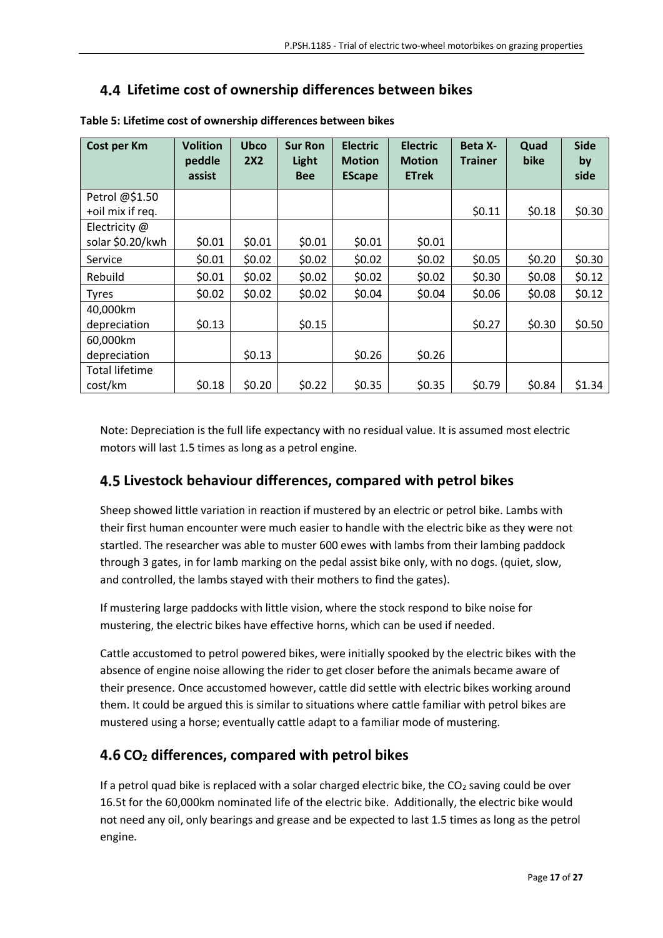## <span id="page-16-0"></span>**Lifetime cost of ownership differences between bikes**

| Cost per Km                        | <b>Volition</b><br>peddle<br>assist | <b>Ubco</b><br>2X2 | <b>Sur Ron</b><br>Light<br><b>Bee</b> | <b>Electric</b><br><b>Motion</b><br><b>EScape</b> | <b>Electric</b><br><b>Motion</b><br><b>ETrek</b> | <b>Beta X-</b><br><b>Trainer</b> | Quad<br>bike | <b>Side</b><br>by<br>side |
|------------------------------------|-------------------------------------|--------------------|---------------------------------------|---------------------------------------------------|--------------------------------------------------|----------------------------------|--------------|---------------------------|
| Petrol @\$1.50<br>+oil mix if req. |                                     |                    |                                       |                                                   |                                                  | \$0.11                           | \$0.18       | \$0.30                    |
| Electricity @                      |                                     |                    |                                       |                                                   |                                                  |                                  |              |                           |
| solar \$0.20/kwh                   | \$0.01                              | \$0.01             | \$0.01                                | \$0.01                                            | \$0.01                                           |                                  |              |                           |
| Service                            | \$0.01                              | \$0.02             | \$0.02                                | \$0.02                                            | \$0.02                                           | \$0.05                           | \$0.20       | \$0.30                    |
| Rebuild                            | \$0.01                              | \$0.02             | \$0.02                                | \$0.02                                            | \$0.02                                           | \$0.30                           | \$0.08       | \$0.12                    |
| <b>Tyres</b>                       | \$0.02\$                            | \$0.02             | \$0.02                                | \$0.04                                            | \$0.04                                           | \$0.06                           | \$0.08       | \$0.12                    |
| 40,000km                           |                                     |                    |                                       |                                                   |                                                  |                                  |              |                           |
| depreciation                       | \$0.13                              |                    | \$0.15                                |                                                   |                                                  | \$0.27                           | \$0.30       | \$0.50                    |
| 60,000km                           |                                     |                    |                                       |                                                   |                                                  |                                  |              |                           |
| depreciation                       |                                     | \$0.13             |                                       | \$0.26                                            | \$0.26                                           |                                  |              |                           |
| Total lifetime                     |                                     |                    |                                       |                                                   |                                                  |                                  |              |                           |
| cost/km                            | \$0.18                              | \$0.20             | \$0.22                                | \$0.35                                            | \$0.35                                           | \$0.79                           | \$0.84       | \$1.34                    |

**Table 5: Lifetime cost of ownership differences between bikes**

Note: Depreciation is the full life expectancy with no residual value. It is assumed most electric motors will last 1.5 times as long as a petrol engine.

## <span id="page-16-1"></span>**Livestock behaviour differences, compared with petrol bikes**

Sheep showed little variation in reaction if mustered by an electric or petrol bike. Lambs with their first human encounter were much easier to handle with the electric bike as they were not startled. The researcher was able to muster 600 ewes with lambs from their lambing paddock through 3 gates, in for lamb marking on the pedal assist bike only, with no dogs. (quiet, slow, and controlled, the lambs stayed with their mothers to find the gates).

If mustering large paddocks with little vision, where the stock respond to bike noise for mustering, the electric bikes have effective horns, which can be used if needed.

Cattle accustomed to petrol powered bikes, were initially spooked by the electric bikes with the absence of engine noise allowing the rider to get closer before the animals became aware of their presence. Once accustomed however, cattle did settle with electric bikes working around them. It could be argued this is similar to situations where cattle familiar with petrol bikes are mustered using a horse; eventually cattle adapt to a familiar mode of mustering.

## <span id="page-16-2"></span>**CO<sup>2</sup> differences, compared with petrol bikes**

If a petrol quad bike is replaced with a solar charged electric bike, the  $CO<sub>2</sub>$  saving could be over 16.5t for the 60,000km nominated life of the electric bike. Additionally, the electric bike would not need any oil, only bearings and grease and be expected to last 1.5 times as long as the petrol engine.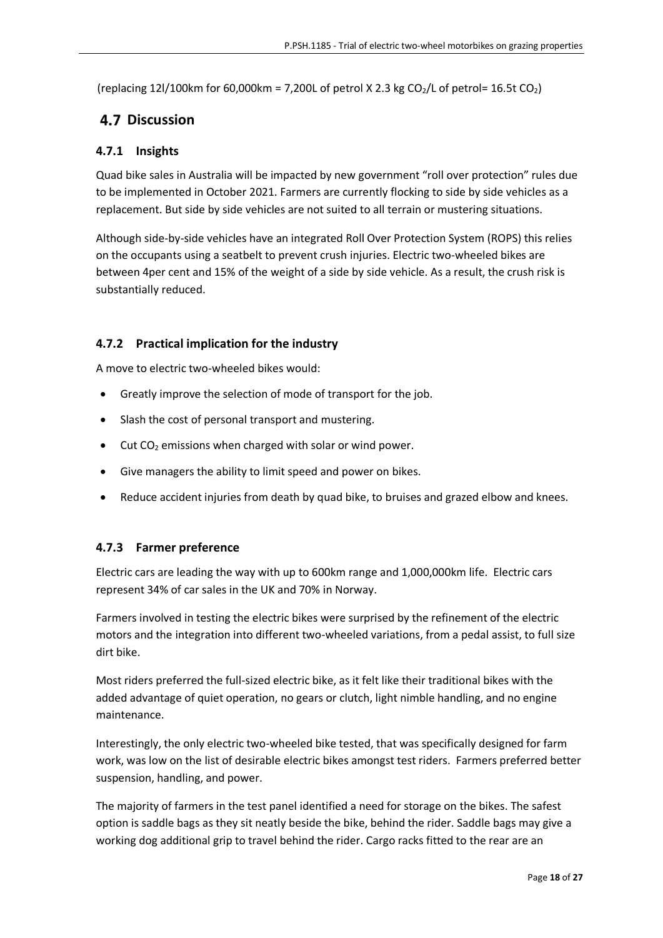(replacing  $12$ l/100km for 60,000km = 7,200L of petrol X 2.3 kg CO<sub>2</sub>/L of petrol=  $16.5t$  CO<sub>2</sub>)

## <span id="page-17-0"></span>**4.7 Discussion**

#### <span id="page-17-1"></span>**4.7.1 Insights**

Quad bike sales in Australia will be impacted by new government "roll over protection" rules due to be implemented in October 2021. Farmers are currently flocking to side by side vehicles as a replacement. But side by side vehicles are not suited to all terrain or mustering situations.

Although side-by-side vehicles have an integrated Roll Over Protection System (ROPS) this relies on the occupants using a seatbelt to prevent crush injuries. Electric two-wheeled bikes are between 4per cent and 15% of the weight of a side by side vehicle. As a result, the crush risk is substantially reduced.

## <span id="page-17-2"></span>**4.7.2 Practical implication for the industry**

A move to electric two-wheeled bikes would:

- Greatly improve the selection of mode of transport for the job.
- Slash the cost of personal transport and mustering.
- $\bullet$  Cut CO<sub>2</sub> emissions when charged with solar or wind power.
- Give managers the ability to limit speed and power on bikes.
- Reduce accident injuries from death by quad bike, to bruises and grazed elbow and knees.

#### <span id="page-17-3"></span>**4.7.3 Farmer preference**

Electric cars are leading the way with up to 600km range and 1,000,000km life. Electric cars represent 34% of car sales in the UK and 70% in Norway.

Farmers involved in testing the electric bikes were surprised by the refinement of the electric motors and the integration into different two-wheeled variations, from a pedal assist, to full size dirt bike.

Most riders preferred the full-sized electric bike, as it felt like their traditional bikes with the added advantage of quiet operation, no gears or clutch, light nimble handling, and no engine maintenance.

Interestingly, the only electric two-wheeled bike tested, that was specifically designed for farm work, was low on the list of desirable electric bikes amongst test riders. Farmers preferred better suspension, handling, and power.

The majority of farmers in the test panel identified a need for storage on the bikes. The safest option is saddle bags as they sit neatly beside the bike, behind the rider. Saddle bags may give a working dog additional grip to travel behind the rider. Cargo racks fitted to the rear are an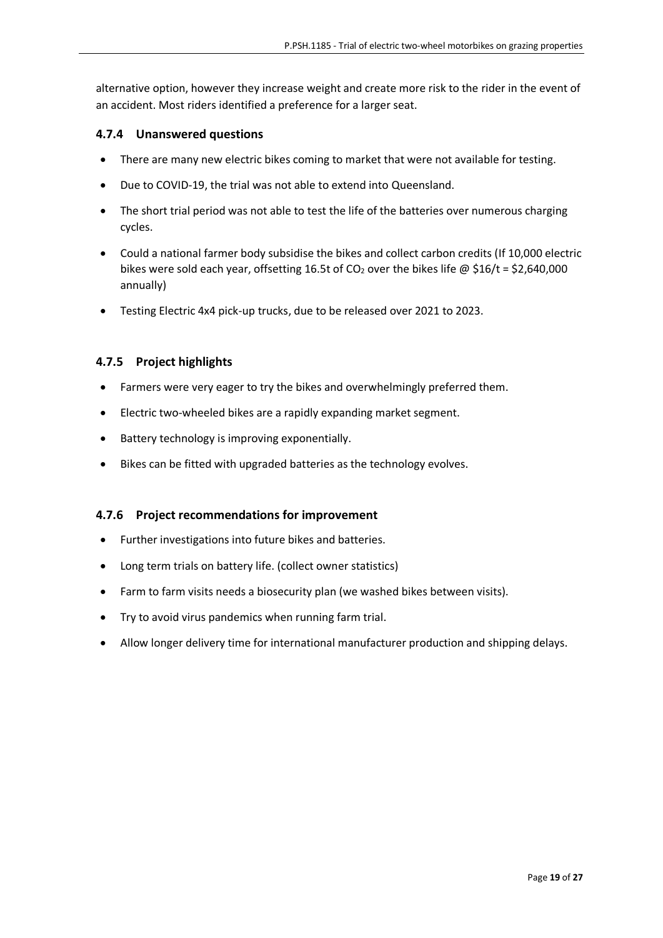alternative option, however they increase weight and create more risk to the rider in the event of an accident. Most riders identified a preference for a larger seat.

#### <span id="page-18-0"></span>**4.7.4 Unanswered questions**

- There are many new electric bikes coming to market that were not available for testing.
- Due to COVID-19, the trial was not able to extend into Queensland.
- The short trial period was not able to test the life of the batteries over numerous charging cycles.
- Could a national farmer body subsidise the bikes and collect carbon credits (If 10,000 electric bikes were sold each year, offsetting 16.5t of CO<sub>2</sub> over the bikes life @ \$16/t = \$2,640,000 annually)
- Testing Electric 4x4 pick-up trucks, due to be released over 2021 to 2023.

#### <span id="page-18-1"></span>**4.7.5 Project highlights**

- Farmers were very eager to try the bikes and overwhelmingly preferred them.
- Electric two-wheeled bikes are a rapidly expanding market segment.
- Battery technology is improving exponentially.
- Bikes can be fitted with upgraded batteries as the technology evolves.

#### <span id="page-18-2"></span>**4.7.6 Project recommendations for improvement**

- Further investigations into future bikes and batteries.
- Long term trials on battery life. (collect owner statistics)
- Farm to farm visits needs a biosecurity plan (we washed bikes between visits).
- Try to avoid virus pandemics when running farm trial.
- Allow longer delivery time for international manufacturer production and shipping delays.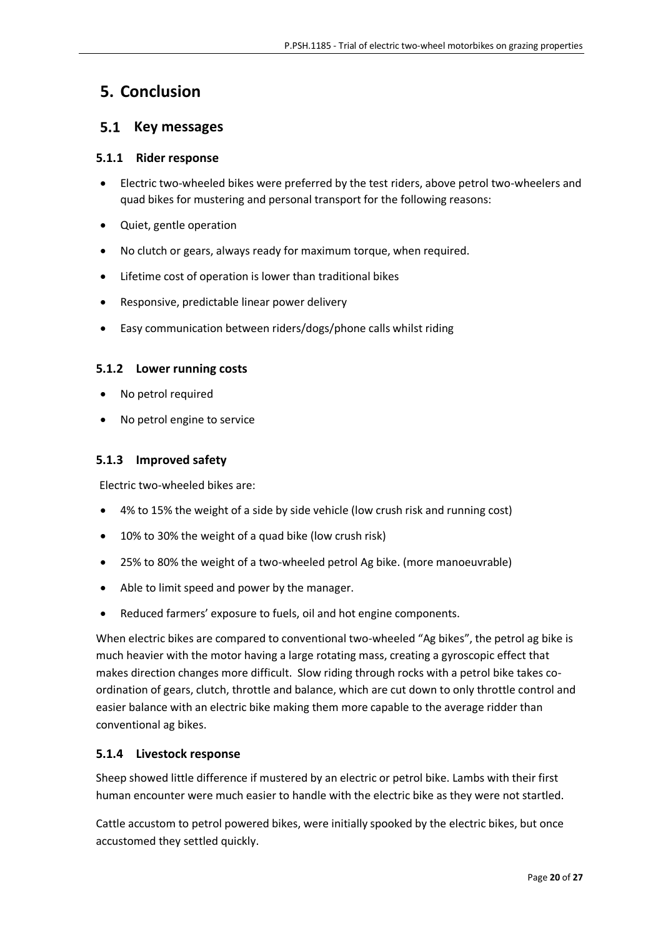## <span id="page-19-0"></span>**5. Conclusion**

## <span id="page-19-1"></span>**5.1 Key messages**

#### <span id="page-19-2"></span>**5.1.1 Rider response**

- Electric two-wheeled bikes were preferred by the test riders, above petrol two-wheelers and quad bikes for mustering and personal transport for the following reasons:
- Quiet, gentle operation
- No clutch or gears, always ready for maximum torque, when required.
- Lifetime cost of operation is lower than traditional bikes
- Responsive, predictable linear power delivery
- Easy communication between riders/dogs/phone calls whilst riding

#### <span id="page-19-3"></span>**5.1.2 Lower running costs**

- No petrol required
- No petrol engine to service

#### <span id="page-19-4"></span>**5.1.3 Improved safety**

Electric two-wheeled bikes are:

- 4% to 15% the weight of a side by side vehicle (low crush risk and running cost)
- 10% to 30% the weight of a quad bike (low crush risk)
- 25% to 80% the weight of a two-wheeled petrol Ag bike. (more manoeuvrable)
- Able to limit speed and power by the manager.
- Reduced farmers' exposure to fuels, oil and hot engine components.

When electric bikes are compared to conventional two-wheeled "Ag bikes", the petrol ag bike is much heavier with the motor having a large rotating mass, creating a gyroscopic effect that makes direction changes more difficult. Slow riding through rocks with a petrol bike takes coordination of gears, clutch, throttle and balance, which are cut down to only throttle control and easier balance with an electric bike making them more capable to the average ridder than conventional ag bikes.

#### <span id="page-19-5"></span>**5.1.4 Livestock response**

Sheep showed little difference if mustered by an electric or petrol bike. Lambs with their first human encounter were much easier to handle with the electric bike as they were not startled.

Cattle accustom to petrol powered bikes, were initially spooked by the electric bikes, but once accustomed they settled quickly.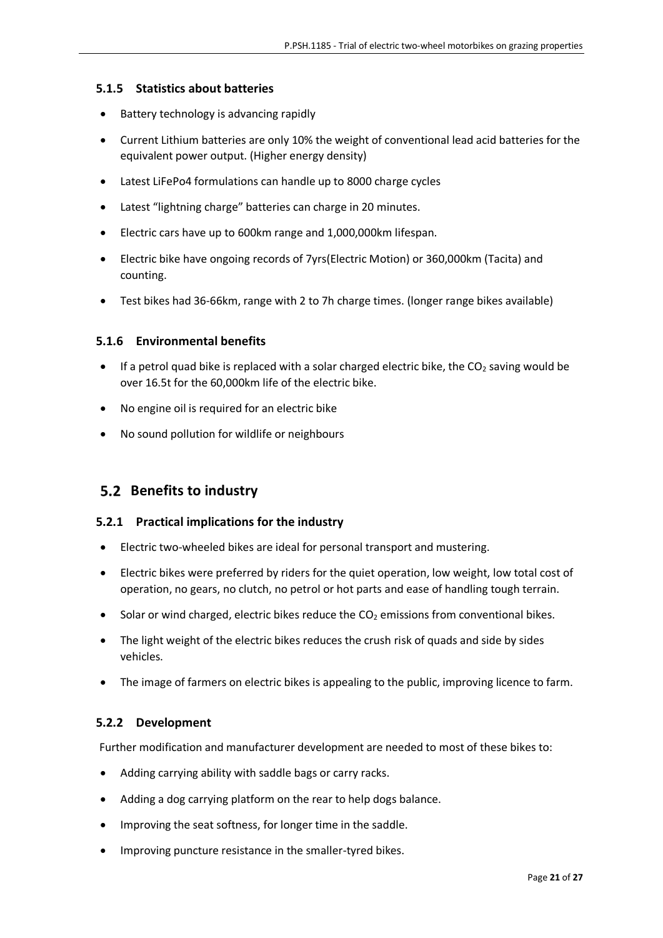#### <span id="page-20-0"></span>**5.1.5 Statistics about batteries**

- Battery technology is advancing rapidly
- Current Lithium batteries are only 10% the weight of conventional lead acid batteries for the equivalent power output. (Higher energy density)
- Latest LiFePo4 formulations can handle up to 8000 charge cycles
- Latest "lightning charge" batteries can charge in 20 minutes.
- Electric cars have up to 600km range and 1,000,000km lifespan.
- Electric bike have ongoing records of 7yrs(Electric Motion) or 360,000km (Tacita) and counting.
- Test bikes had 36-66km, range with 2 to 7h charge times. (longer range bikes available)

#### <span id="page-20-1"></span>**5.1.6 Environmental benefits**

- **If a petrol quad bike is replaced with a solar charged electric bike, the CO<sub>2</sub> saving would be** over 16.5t for the 60,000km life of the electric bike.
- No engine oil is required for an electric bike
- No sound pollution for wildlife or neighbours

## <span id="page-20-2"></span> **Benefits to industry**

#### <span id="page-20-3"></span>**5.2.1 Practical implications for the industry**

- Electric two-wheeled bikes are ideal for personal transport and mustering.
- Electric bikes were preferred by riders for the quiet operation, low weight, low total cost of operation, no gears, no clutch, no petrol or hot parts and ease of handling tough terrain.
- $\bullet$  Solar or wind charged, electric bikes reduce the CO<sub>2</sub> emissions from conventional bikes.
- The light weight of the electric bikes reduces the crush risk of quads and side by sides vehicles.
- The image of farmers on electric bikes is appealing to the public, improving licence to farm.

#### <span id="page-20-4"></span>**5.2.2 Development**

Further modification and manufacturer development are needed to most of these bikes to:

- Adding carrying ability with saddle bags or carry racks.
- Adding a dog carrying platform on the rear to help dogs balance.
- Improving the seat softness, for longer time in the saddle.
- Improving puncture resistance in the smaller-tyred bikes.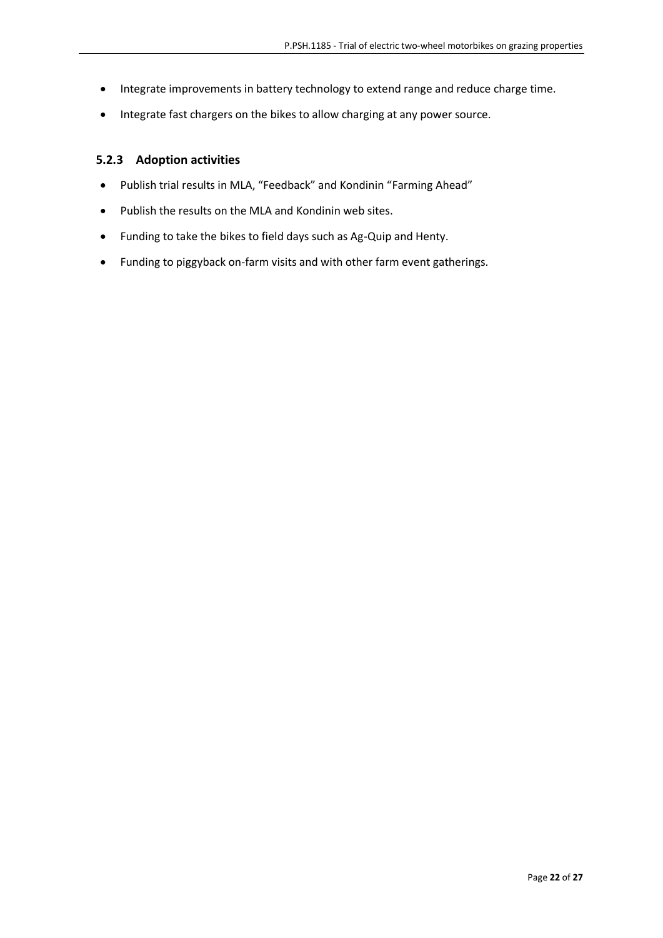- Integrate improvements in battery technology to extend range and reduce charge time.
- Integrate fast chargers on the bikes to allow charging at any power source.

#### <span id="page-21-0"></span>**5.2.3 Adoption activities**

- Publish trial results in MLA, "Feedback" and Kondinin "Farming Ahead"
- Publish the results on the MLA and Kondinin web sites.
- Funding to take the bikes to field days such as Ag-Quip and Henty.
- Funding to piggyback on-farm visits and with other farm event gatherings.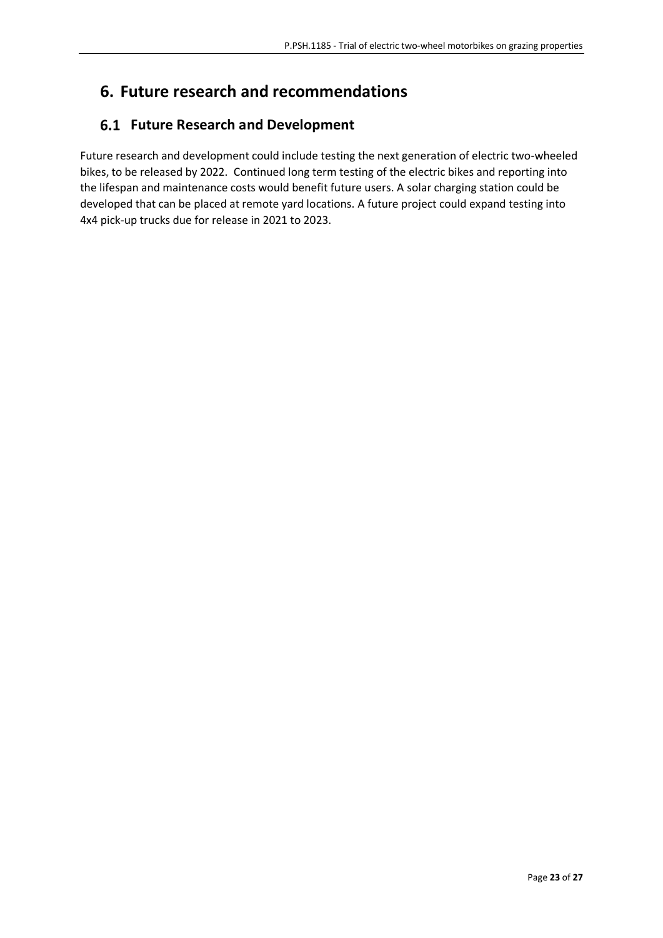## <span id="page-22-0"></span>**6. Future research and recommendations**

## <span id="page-22-1"></span> **Future Research and Development**

Future research and development could include testing the next generation of electric two-wheeled bikes, to be released by 2022. Continued long term testing of the electric bikes and reporting into the lifespan and maintenance costs would benefit future users. A solar charging station could be developed that can be placed at remote yard locations. A future project could expand testing into 4x4 pick-up trucks due for release in 2021 to 2023.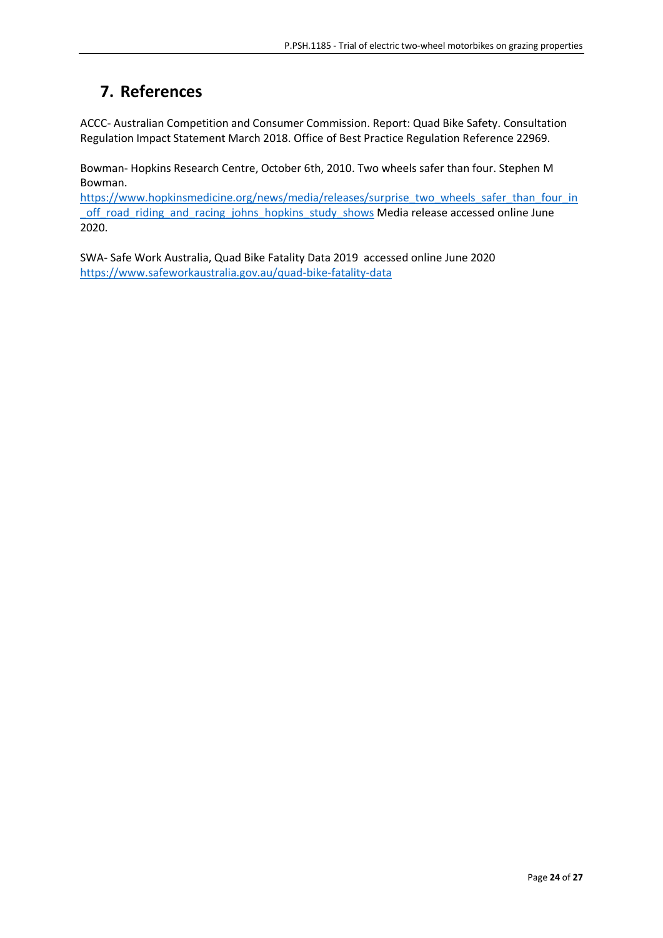## <span id="page-23-0"></span>**7. References**

ACCC- Australian Competition and Consumer Commission. Report: Quad Bike Safety. Consultation Regulation Impact Statement March 2018. Office of Best Practice Regulation Reference 22969.

Bowman- Hopkins Research Centre, October 6th, 2010. Two wheels safer than four. Stephen M Bowman.

[https://www.hopkinsmedicine.org/news/media/releases/surprise\\_two\\_wheels\\_safer\\_than\\_four\\_in](https://www.hopkinsmedicine.org/news/media/releases/surprise_two_wheels_safer_than_four_in_off_road_riding_and_racing_johns_hopkins_study_shows) [\\_off\\_road\\_riding\\_and\\_racing\\_johns\\_hopkins\\_study\\_shows](https://www.hopkinsmedicine.org/news/media/releases/surprise_two_wheels_safer_than_four_in_off_road_riding_and_racing_johns_hopkins_study_shows) Media release accessed online June 2020.

SWA- Safe Work Australia, Quad Bike Fatality Data 2019 accessed online June 2020 <https://www.safeworkaustralia.gov.au/quad-bike-fatality-data>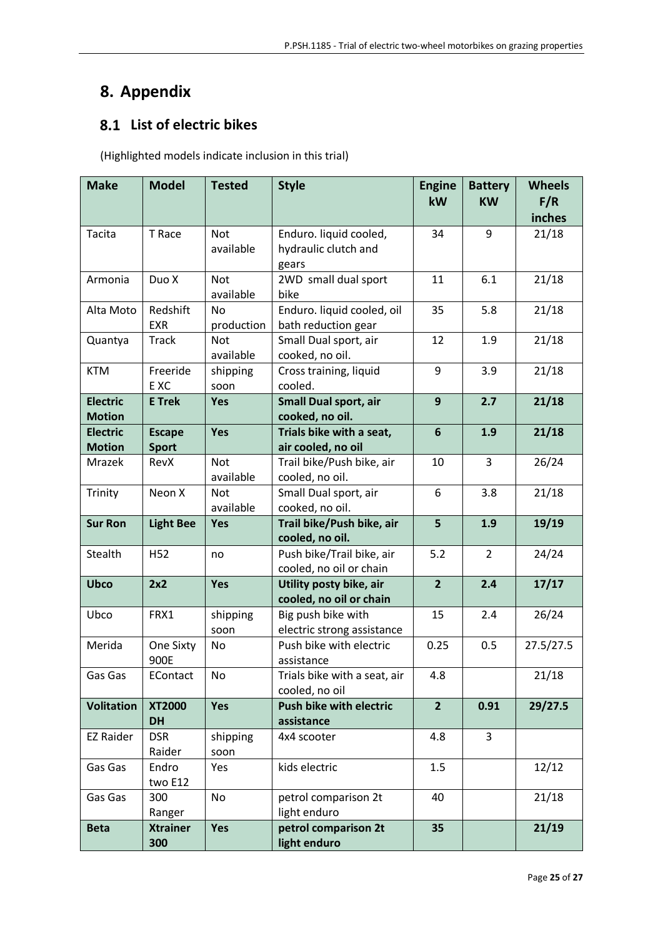## <span id="page-24-0"></span>**8. Appendix**

## <span id="page-24-1"></span> **List of electric bikes**

(Highlighted models indicate inclusion in this trial)

| <b>Make</b>                      | <b>Model</b>                  | <b>Tested</b>           | <b>Style</b>                                            | <b>Engine</b><br>kW | <b>Battery</b><br><b>KW</b> | <b>Wheels</b><br>F/R<br>inches |
|----------------------------------|-------------------------------|-------------------------|---------------------------------------------------------|---------------------|-----------------------------|--------------------------------|
| Tacita                           | T Race                        | <b>Not</b><br>available | Enduro. liquid cooled,<br>hydraulic clutch and<br>gears | 34                  | 9                           | 21/18                          |
| Armonia                          | Duo X                         | <b>Not</b><br>available | 2WD small dual sport<br>bike                            | 11                  | 6.1                         | 21/18                          |
| Alta Moto                        | Redshift<br><b>EXR</b>        | <b>No</b><br>production | Enduro. liquid cooled, oil<br>bath reduction gear       | 35                  | 5.8                         | 21/18                          |
| Quantya                          | <b>Track</b>                  | <b>Not</b><br>available | Small Dual sport, air<br>cooked, no oil.                | 12                  | 1.9                         | 21/18                          |
| <b>KTM</b>                       | Freeride<br>E XC              | shipping<br>soon        | Cross training, liquid<br>cooled.                       | 9                   | 3.9                         | 21/18                          |
| <b>Electric</b><br><b>Motion</b> | <b>E</b> Trek                 | Yes                     | <b>Small Dual sport, air</b><br>cooked, no oil.         | 9                   | 2.7                         | 21/18                          |
| <b>Electric</b><br><b>Motion</b> | <b>Escape</b><br><b>Sport</b> | Yes                     | Trials bike with a seat,<br>air cooled, no oil          | 6                   | 1.9                         | 21/18                          |
| Mrazek                           | RevX                          | <b>Not</b><br>available | Trail bike/Push bike, air<br>cooled, no oil.            | 10                  | 3                           | 26/24                          |
| Trinity                          | Neon X                        | <b>Not</b><br>available | Small Dual sport, air<br>cooked, no oil.                | 6                   | 3.8                         | 21/18                          |
| <b>Sur Ron</b>                   | <b>Light Bee</b>              | Yes                     | Trail bike/Push bike, air<br>cooled, no oil.            | 5                   | 1.9                         | 19/19                          |
| Stealth                          | H <sub>52</sub>               | no                      | Push bike/Trail bike, air<br>cooled, no oil or chain    | 5.2                 | $\overline{2}$              | 24/24                          |
| <b>Ubco</b>                      | 2x2                           | Yes                     | Utility posty bike, air<br>cooled, no oil or chain      | $\overline{2}$      | 2.4                         | 17/17                          |
| Ubco                             | FRX1                          | shipping<br>soon        | Big push bike with<br>electric strong assistance        | 15                  | 2.4                         | 26/24                          |
| Merida                           | One Sixty<br>900E             | No                      | Push bike with electric<br>assistance                   | 0.25                | 0.5                         | 27.5/27.5                      |
| Gas Gas                          | EContact                      | No                      | Trials bike with a seat, air<br>cooled, no oil          | 4.8                 |                             | 21/18                          |
| <b>Volitation</b>                | <b>XT2000</b><br><b>DH</b>    | Yes                     | <b>Push bike with electric</b><br>assistance            | $\overline{2}$      | 0.91                        | 29/27.5                        |
| <b>EZ Raider</b>                 | <b>DSR</b><br>Raider          | shipping<br>soon        | 4x4 scooter                                             | 4.8                 | 3                           |                                |
| Gas Gas                          | Endro<br>two E12              | Yes                     | kids electric                                           | 1.5                 |                             | 12/12                          |
| Gas Gas                          | 300<br>Ranger                 | No                      | petrol comparison 2t<br>light enduro                    | 40                  |                             | 21/18                          |
| <b>Beta</b>                      | <b>Xtrainer</b><br>300        | Yes                     | petrol comparison 2t<br>light enduro                    | 35                  |                             | 21/19                          |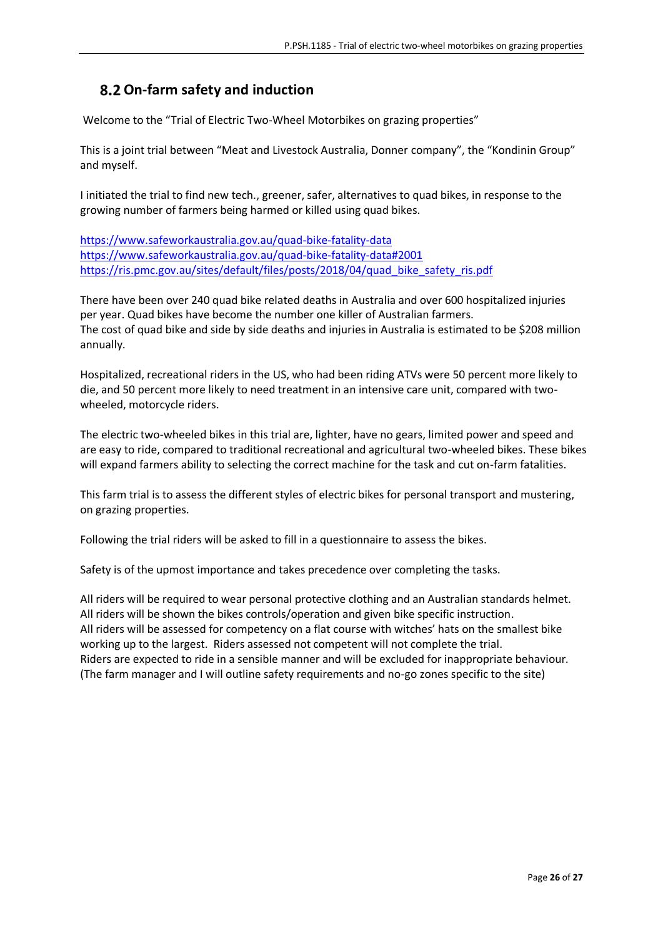## <span id="page-25-0"></span>**On-farm safety and induction**

Welcome to the "Trial of Electric Two-Wheel Motorbikes on grazing properties"

This is a joint trial between "Meat and Livestock Australia, Donner company", the "Kondinin Group" and myself.

I initiated the trial to find new tech., greener, safer, alternatives to quad bikes, in response to the growing number of farmers being harmed or killed using quad bikes.

<https://www.safeworkaustralia.gov.au/quad-bike-fatality-data> <https://www.safeworkaustralia.gov.au/quad-bike-fatality-data#2001> [https://ris.pmc.gov.au/sites/default/files/posts/2018/04/quad\\_bike\\_safety\\_ris.pdf](https://ris.pmc.gov.au/sites/default/files/posts/2018/04/quad_bike_safety_ris.pdf)

There have been over 240 quad bike related deaths in Australia and over 600 hospitalized injuries per year. Quad bikes have become the number one killer of Australian farmers. The cost of quad bike and side by side deaths and injuries in Australia is estimated to be \$208 million annually.

Hospitalized, recreational riders in the US, who had been riding ATVs were 50 percent more likely to die, and 50 percent more likely to need treatment in an intensive care unit, compared with twowheeled, motorcycle riders.

The electric two-wheeled bikes in this trial are, lighter, have no gears, limited power and speed and are easy to ride, compared to traditional recreational and agricultural two-wheeled bikes. These bikes will expand farmers ability to selecting the correct machine for the task and cut on-farm fatalities.

This farm trial is to assess the different styles of electric bikes for personal transport and mustering, on grazing properties.

Following the trial riders will be asked to fill in a questionnaire to assess the bikes.

Safety is of the upmost importance and takes precedence over completing the tasks.

All riders will be required to wear personal protective clothing and an Australian standards helmet. All riders will be shown the bikes controls/operation and given bike specific instruction. All riders will be assessed for competency on a flat course with witches' hats on the smallest bike working up to the largest. Riders assessed not competent will not complete the trial. Riders are expected to ride in a sensible manner and will be excluded for inappropriate behaviour. (The farm manager and I will outline safety requirements and no-go zones specific to the site)